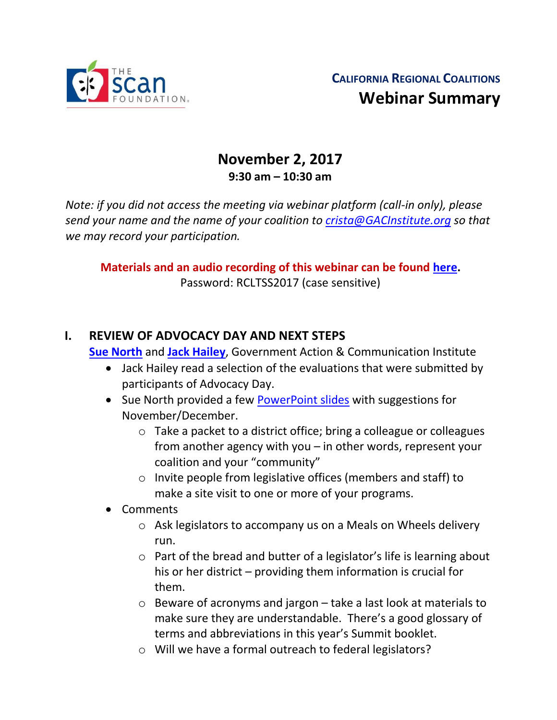

# **November 2, 2017 9:30 am – 10:30 am**

*Note: if you did not access the meeting via webinar platform (call-in only), please send your name and the name of your coalition to [crista@GACInstitute.org](mailto:crista@GACInstitute.org) so that we may record your participation.* 

**Materials and an audio recording of this webinar can be found [here.](http://www.ccltss.org/regional-coalition-meeting-materials/)** Password: RCLTSS2017 (case sensitive)

## **I. REVIEW OF ADVOCACY DAY AND NEXT STEPS**

**[Sue North](mailto:snorthca@gmail.com)** and **[Jack Hailey](mailto:jack@gacinstitute.org)**, Government Action & Communication Institute

- Jack Hailey read a selection of the evaluations that were submitted by participants of Advocacy Day.
- Sue North provided a few [PowerPoint slides](http://www.ccltss.org/cc-content-wp/uploads/2016/10/RC_Nov-2017_Slide-Deck_FINAL.pdf) with suggestions for November/December.
	- o Take a packet to a district office; bring a colleague or colleagues from another agency with you – in other words, represent your coalition and your "community"
	- o Invite people from legislative offices (members and staff) to make a site visit to one or more of your programs.
- Comments
	- o Ask legislators to accompany us on a Meals on Wheels delivery run.
	- o Part of the bread and butter of a legislator's life is learning about his or her district – providing them information is crucial for them.
	- o Beware of acronyms and jargon take a last look at materials to make sure they are understandable. There's a good glossary of terms and abbreviations in this year's Summit booklet.
	- o Will we have a formal outreach to federal legislators?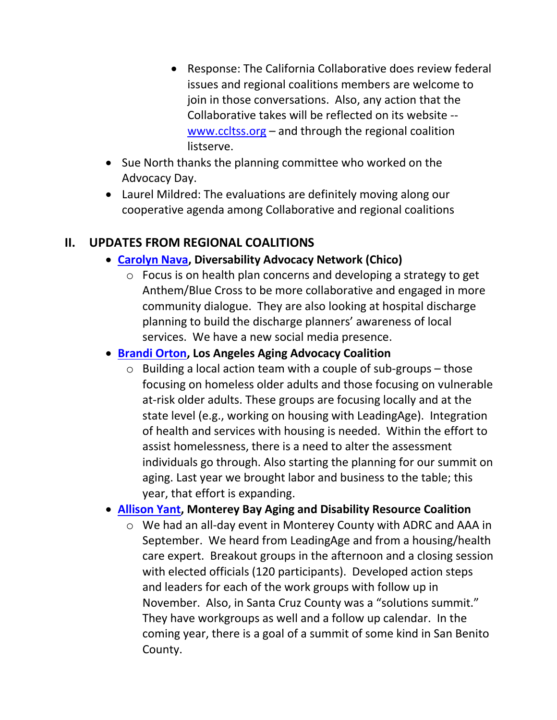- Response: The California Collaborative does review federal issues and regional coalitions members are welcome to join in those conversations. Also, any action that the Collaborative takes will be reflected on its website - [www.ccltss.org](http://www.ccltss.org/) – and through the regional coalition listserve.
- Sue North thanks the planning committee who worked on the Advocacy Day.
- Laurel Mildred: The evaluations are definitely moving along our cooperative agenda among Collaborative and regional coalitions

### **II. UPDATES FROM REGIONAL COALITIONS**

- **[Carolyn Nava,](mailto:evan@actionctr.org) Diversability Advocacy Network (Chico)** 
	- o Focus is on health plan concerns and developing a strategy to get Anthem/Blue Cross to be more collaborative and engaged in more community dialogue. They are also looking at hospital discharge planning to build the discharge planners' awareness of local services. We have a new social media presence.

#### • **[Brandi Orton,](mailto:borton@sbssla.org) Los Angeles Aging Advocacy Coalition**

- $\circ$  Building a local action team with a couple of sub-groups those focusing on homeless older adults and those focusing on vulnerable at-risk older adults. These groups are focusing locally and at the state level (e.g., working on housing with LeadingAge). Integration of health and services with housing is needed. Within the effort to assist homelessness, there is a need to alter the assessment individuals go through. Also starting the planning for our summit on aging. Last year we brought labor and business to the table; this year, that effort is expanding.
- **[Allison Yant,](mailto:clayk@seniorscouncil.org) Monterey Bay Aging and Disability Resource Coalition**
	- o We had an all-day event in Monterey County with ADRC and AAA in September. We heard from LeadingAge and from a housing/health care expert. Breakout groups in the afternoon and a closing session with elected officials (120 participants). Developed action steps and leaders for each of the work groups with follow up in November. Also, in Santa Cruz County was a "solutions summit." They have workgroups as well and a follow up calendar. In the coming year, there is a goal of a summit of some kind in San Benito County.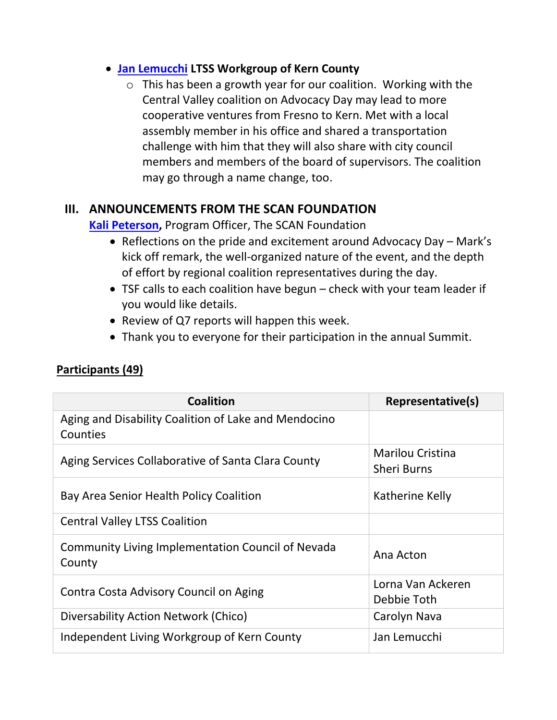#### • **[Jan Lemucchi](mailto:jan@ilcofkerncounty.org) LTSS Workgroup of Kern County**

 $\circ$  This has been a growth year for our coalition. Working with the Central Valley coalition on Advocacy Day may lead to more cooperative ventures from Fresno to Kern. Met with a local assembly member in his office and shared a transportation challenge with him that they will also share with city council members and members of the board of supervisors. The coalition may go through a name change, too.

#### **III. ANNOUNCEMENTS FROM THE SCAN FOUNDATION**

**[Kali Peterson,](mailto:KPeterson@thescanfoundation.org)** Program Officer, The SCAN Foundation

- Reflections on the pride and excitement around Advocacy Day Mark's kick off remark, the well-organized nature of the event, and the depth of effort by regional coalition representatives during the day.
- TSF calls to each coalition have begun check with your team leader if you would like details.
- Review of Q7 reports will happen this week.
- Thank you to everyone for their participation in the annual Summit.

#### **Participants (49)**

| <b>Coalition</b>                                                 | Representative(s)                             |
|------------------------------------------------------------------|-----------------------------------------------|
| Aging and Disability Coalition of Lake and Mendocino<br>Counties |                                               |
| Aging Services Collaborative of Santa Clara County               | <b>Marilou Cristina</b><br><b>Sheri Burns</b> |
| Bay Area Senior Health Policy Coalition                          | Katherine Kelly                               |
| <b>Central Valley LTSS Coalition</b>                             |                                               |
| Community Living Implementation Council of Nevada<br>County      | Ana Acton                                     |
| Contra Costa Advisory Council on Aging                           | Lorna Van Ackeren<br>Debbie Toth              |
| Diversability Action Network (Chico)                             | Carolyn Nava                                  |
| Independent Living Workgroup of Kern County                      | Jan Lemucchi                                  |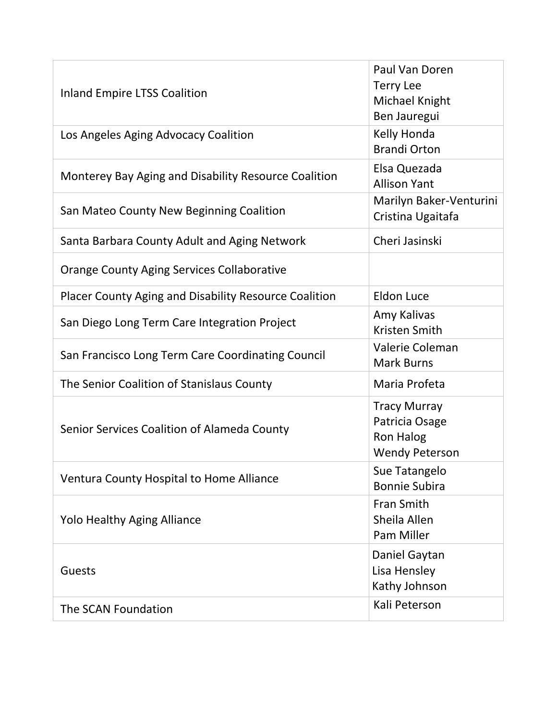| <b>Inland Empire LTSS Coalition</b>                          | Paul Van Doren<br><b>Terry Lee</b><br>Michael Knight<br>Ben Jauregui               |
|--------------------------------------------------------------|------------------------------------------------------------------------------------|
| Los Angeles Aging Advocacy Coalition                         | Kelly Honda<br><b>Brandi Orton</b>                                                 |
| Monterey Bay Aging and Disability Resource Coalition         | Elsa Quezada<br><b>Allison Yant</b>                                                |
| San Mateo County New Beginning Coalition                     | Marilyn Baker-Venturini<br>Cristina Ugaitafa                                       |
| Santa Barbara County Adult and Aging Network                 | Cheri Jasinski                                                                     |
| <b>Orange County Aging Services Collaborative</b>            |                                                                                    |
| <b>Placer County Aging and Disability Resource Coalition</b> | <b>Eldon Luce</b>                                                                  |
| San Diego Long Term Care Integration Project                 | Amy Kalivas<br>Kristen Smith                                                       |
| San Francisco Long Term Care Coordinating Council            | Valerie Coleman<br><b>Mark Burns</b>                                               |
| The Senior Coalition of Stanislaus County                    | Maria Profeta                                                                      |
| Senior Services Coalition of Alameda County                  | <b>Tracy Murray</b><br>Patricia Osage<br><b>Ron Halog</b><br><b>Wendy Peterson</b> |
| Ventura County Hospital to Home Alliance                     | Sue Tatangelo<br><b>Bonnie Subira</b>                                              |
| <b>Yolo Healthy Aging Alliance</b>                           | <b>Fran Smith</b><br>Sheila Allen<br>Pam Miller                                    |
| Guests                                                       | Daniel Gaytan<br>Lisa Hensley<br>Kathy Johnson                                     |
| The SCAN Foundation                                          | Kali Peterson                                                                      |